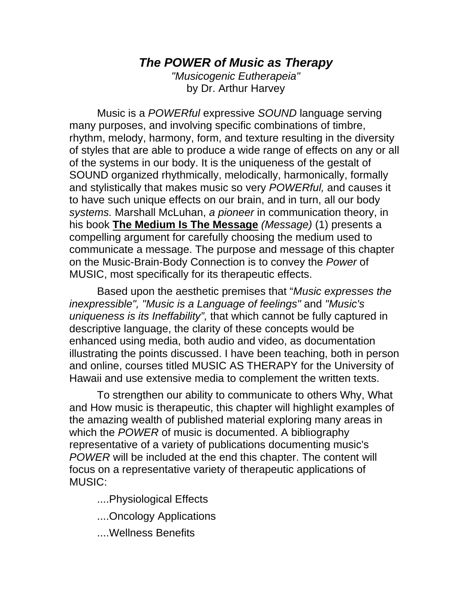# *The POWER of Music as Therapy*

*"Musicogenic Eutherapeia"*  by Dr. Arthur Harvey

Music is a *POWERful* expressive *SOUND* language serving many purposes, and involving specific combinations of timbre, rhythm, melody, harmony, form, and texture resulting in the diversity of styles that are able to produce a wide range of effects on any or all of the systems in our body. It is the uniqueness of the gestalt of SOUND organized rhythmically, melodically, harmonically, formally and stylistically that makes music so very *POWERful,* and causes it to have such unique effects on our brain, and in turn, all our body *systems.* Marshall McLuhan, *a pioneer* in communication theory, in his book **The Medium Is The Message** *(Message)* (1) presents a compelling argument for carefully choosing the medium used to communicate a message. The purpose and message of this chapter on the Music-Brain-Body Connection is to convey the *Power* of MUSIC, most specifically for its therapeutic effects.

Based upon the aesthetic premises that "*Music expresses the inexpressible", "Music is a Language of feelings"* and *"Music's uniqueness is its Ineffability",* that which cannot be fully captured in descriptive language, the clarity of these concepts would be enhanced using media, both audio and video, as documentation illustrating the points discussed. I have been teaching, both in person and online, courses titled MUSIC AS THERAPY for the University of Hawaii and use extensive media to complement the written texts.

To strengthen our ability to communicate to others Why, What and How music is therapeutic, this chapter will highlight examples of the amazing wealth of published material exploring many areas in which the *POWER* of music is documented. A bibliography representative of a variety of publications documenting music's *POWER* will be included at the end this chapter. The content will focus on a representative variety of therapeutic applications of MUSIC:

....Physiological Effects

....Oncology Applications

....Wellness Benefits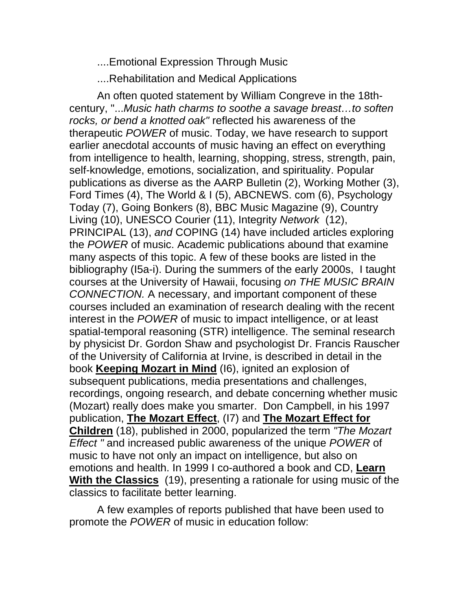....Emotional Expression Through Music

....Rehabilitation and Medical Applications

An often quoted statement by William Congreve in the 18thcentury, "...*Music hath charms to soothe a savage breast…to soften rocks, or bend a knotted oak"* reflected his awareness of the therapeutic *POWER* of music. Today, we have research to support earlier anecdotal accounts of music having an effect on everything from intelligence to health, learning, shopping, stress, strength, pain, self-knowledge, emotions, socialization, and spirituality. Popular publications as diverse as the AARP Bulletin (2), Working Mother (3), Ford Times (4), The World & I (5), ABCNEWS. com (6), Psychology Today (7), Going Bonkers (8), BBC Music Magazine (9), Country Living (10), UNESCO Courier (11), Integrity *Network* (12), PRINCIPAL (13), *and* COPING (14) have included articles exploring the *POWER* of music. Academic publications abound that examine many aspects of this topic. A few of these books are listed in the bibliography (I5a-i). During the summers of the early 2000s, I taught courses at the University of Hawaii, focusing *on THE MUSIC BRAIN CONNECTION.* A necessary, and important component of these courses included an examination of research dealing with the recent interest in the *POWER* of music to impact intelligence, or at least spatial-temporal reasoning (STR) intelligence. The seminal research by physicist Dr. Gordon Shaw and psychologist Dr. Francis Rauscher of the University of California at Irvine, is described in detail in the book **Keeping Mozart in Mind** (I6), ignited an explosion of subsequent publications, media presentations and challenges, recordings, ongoing research, and debate concerning whether music (Mozart) really does make you smarter. Don Campbell, in his 1997 publication, **The Mozart Effect**, (I7) and **The Mozart Effect for Children** (18), published in 2000, popularized the term *"The Mozart Effect "* and increased public awareness of the unique *POWER* of music to have not only an impact on intelligence, but also on emotions and health. In 1999 I co-authored a book and CD, **Learn With the Classics** (19), presenting a rationale for using music of the classics to facilitate better learning.

A few examples of reports published that have been used to promote the *POWER* of music in education follow: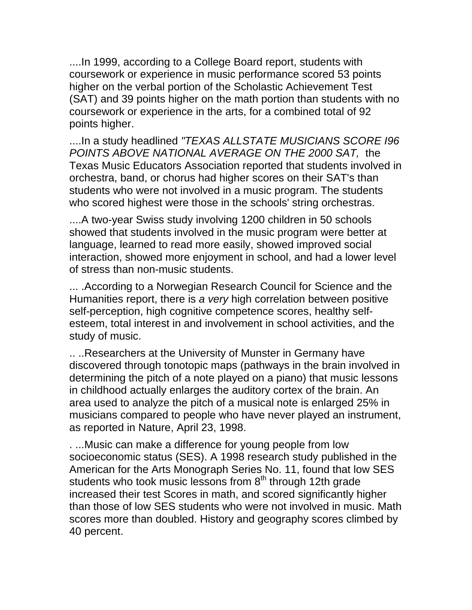....In 1999, according to a College Board report, students with coursework or experience in music performance scored 53 points higher on the verbal portion of the Scholastic Achievement Test (SAT) and 39 points higher on the math portion than students with no coursework or experience in the arts, for a combined total of 92 points higher.

....In a study headlined *"TEXAS ALLSTATE MUSICIANS SCORE I96 POINTS ABOVE NATIONAL AVERAGE ON THE 2000 SAT,* the Texas Music Educators Association reported that students involved in orchestra, band, or chorus had higher scores on their SAT's than students who were not involved in a music program. The students who scored highest were those in the schools' string orchestras.

....A two-year Swiss study involving 1200 children in 50 schools showed that students involved in the music program were better at language, learned to read more easily, showed improved social interaction, showed more enjoyment in school, and had a lower level of stress than non-music students.

... .According to a Norwegian Research Council for Science and the Humanities report, there is *a very* high correlation between positive self-perception, high cognitive competence scores, healthy selfesteem, total interest in and involvement in school activities, and the study of music.

.. ..Researchers at the University of Munster in Germany have discovered through tonotopic maps (pathways in the brain involved in determining the pitch of a note played on a piano) that music lessons in childhood actually enlarges the auditory cortex of the brain. An area used to analyze the pitch of a musical note is enlarged 25% in musicians compared to people who have never played an instrument, as reported in Nature, April 23, 1998.

. ...Music can make a difference for young people from low socioeconomic status (SES). A 1998 research study published in the American for the Arts Monograph Series No. 11, found that low SES students who took music lessons from  $8<sup>th</sup>$  through 12th grade increased their test Scores in math, and scored significantly higher than those of low SES students who were not involved in music. Math scores more than doubled. History and geography scores climbed by 40 percent.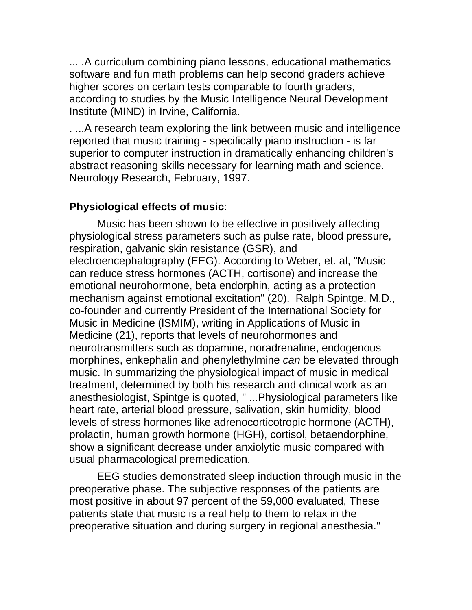... .A curriculum combining piano lessons, educational mathematics software and fun math problems can help second graders achieve higher scores on certain tests comparable to fourth graders, according to studies by the Music Intelligence Neural Development Institute (MIND) in Irvine, California.

. ...A research team exploring the link between music and intelligence reported that music training - specifically piano instruction - is far superior to computer instruction in dramatically enhancing children's abstract reasoning skills necessary for learning math and science. Neurology Research, February, 1997.

### **Physiological effects of music**:

Music has been shown to be effective in positively affecting physiological stress parameters such as pulse rate, blood pressure, respiration, galvanic skin resistance (GSR), and electroencephalography (EEG). According to Weber, et. al, "Music can reduce stress hormones (ACTH, cortisone) and increase the emotional neurohormone, beta endorphin, acting as a protection mechanism against emotional excitation" (20). Ralph Spintge, M.D., co-founder and currently President of the International Society for Music in Medicine (lSMIM), writing in Applications of Music in Medicine (21), reports that levels of neurohormones and neurotransmitters such as dopamine, noradrenaline, endogenous morphines, enkephalin and phenylethylmine *can* be elevated through music. In summarizing the physiological impact of music in medical treatment, determined by both his research and clinical work as an anesthesiologist, Spintge is quoted, " ...Physiological parameters like heart rate, arterial blood pressure, salivation, skin humidity, blood levels of stress hormones like adrenocorticotropic hormone (ACTH), prolactin, human growth hormone (HGH), cortisol, betaendorphine, show a significant decrease under anxiolytic music compared with usual pharmacological premedication.

EEG studies demonstrated sleep induction through music in the preoperative phase. The subjective responses of the patients are most positive in about 97 percent of the 59,000 evaluated, These patients state that music is a real help to them to relax in the preoperative situation and during surgery in regional anesthesia."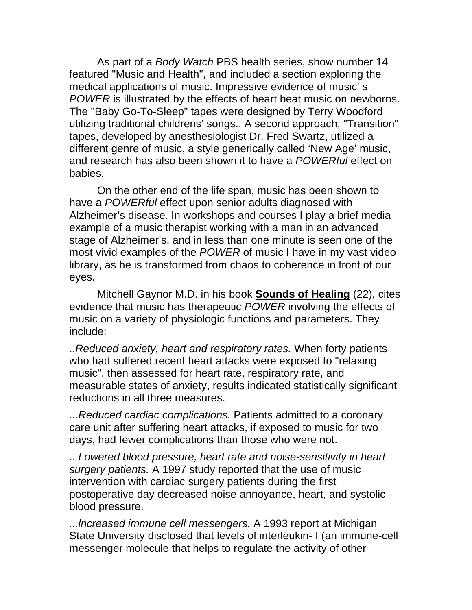As part of a *Body Watch* PBS health series, show number 14 featured "Music and Health", and included a section exploring the medical applications of music. Impressive evidence of music' s *POWER* is illustrated by the effects of heart beat music on newborns. The "Baby Go-To-Sleep" tapes were designed by Terry Woodford utilizing traditional childrens' songs.. A second approach, "Transition" tapes, developed by anesthesiologist Dr. Fred Swartz, utilized a different genre of music, a style generically called 'New Age' music, and research has also been shown it to have a *POWERful* effect on babies.

On the other end of the life span, music has been shown to have a *POWERful* effect upon senior adults diagnosed with Alzheimer's disease. In workshops and courses I play a brief media example of a music therapist working with a man in an advanced stage of Alzheimer's, and in less than one minute is seen one of the most vivid examples of the *POWER* of music I have in my vast video library, as he is transformed from chaos to coherence in front of our eyes.

Mitchell Gaynor M.D. in his book **Sounds of Healing** (22), cites evidence that music has therapeutic *POWER* involving the effects of music on a variety of physiologic functions and parameters. They include:

..*Reduced anxiety, heart and respiratory rates.* When forty patients who had suffered recent heart attacks were exposed to "relaxing music", then assessed for heart rate, respiratory rate, and measurable states of anxiety, results indicated statistically significant reductions in all three measures.

*...Reduced cardiac complications.* Patients admitted to a coronary care unit after suffering heart attacks, if exposed to music for two days, had fewer complications than those who were not.

.. *Lowered blood pressure, heart rate and noise-sensitivity in heart surgery patients.* A 1997 study reported that the use of music intervention with cardiac surgery patients during the first postoperative day decreased noise annoyance, heart, and systolic blood pressure.

*...lncreased immune cell messengers.* A 1993 report at Michigan State University disclosed that levels of interleukin- I (an immune-cell messenger molecule that helps to regulate the activity of other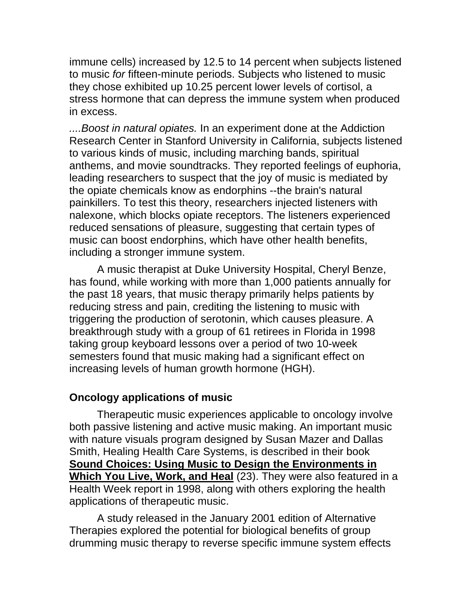immune cells) increased by 12.5 to 14 percent when subjects listened to music *for* fifteen-minute periods. Subjects who listened to music they chose exhibited up 10.25 percent lower levels of cortisol, a stress hormone that can depress the immune system when produced in excess.

*....Boost in natural opiates.* In an experiment done at the Addiction Research Center in Stanford University in California, subjects listened to various kinds of music, including marching bands, spiritual anthems, and movie soundtracks. They reported feelings of euphoria, leading researchers to suspect that the joy of music is mediated by the opiate chemicals know as endorphins --the brain's natural painkillers. To test this theory, researchers injected listeners with nalexone, which blocks opiate receptors. The listeners experienced reduced sensations of pleasure, suggesting that certain types of music can boost endorphins, which have other health benefits, including a stronger immune system.

A music therapist at Duke University Hospital, Cheryl Benze, has found, while working with more than 1,000 patients annually for the past 18 years, that music therapy primarily helps patients by reducing stress and pain, crediting the listening to music with triggering the production of serotonin, which causes pleasure. A breakthrough study with a group of 61 retirees in Florida in 1998 taking group keyboard lessons over a period of two 10-week semesters found that music making had a significant effect on increasing levels of human growth hormone (HGH).

### **Oncology applications of music**

Therapeutic music experiences applicable to oncology involve both passive listening and active music making. An important music with nature visuals program designed by Susan Mazer and Dallas Smith, Healing Health Care Systems, is described in their book **Sound Choices: Using Music to Design the Environments in Which You Live, Work, and Heal** (23). They were also featured in a Health Week report in 1998, along with others exploring the health applications of therapeutic music.

A study released in the January 2001 edition of Alternative Therapies explored the potential for biological benefits of group drumming music therapy to reverse specific immune system effects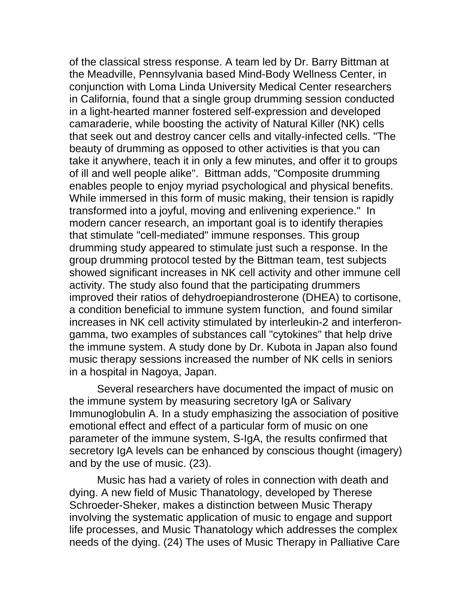of the classical stress response. A team led by Dr. Barry Bittman at the Meadville, Pennsylvania based Mind-Body Wellness Center, in conjunction with Loma Linda University Medical Center researchers in California, found that a single group drumming session conducted in a light-hearted manner fostered self-expression and developed camaraderie, while boosting the activity of Natural Killer (NK) cells that seek out and destroy cancer cells and vitally-infected cells. "The beauty of drumming as opposed to other activities is that you can take it anywhere, teach it in only a few minutes, and offer it to groups of ill and well people alike". Bittman adds, "Composite drumming enables people to enjoy myriad psychological and physical benefits. While immersed in this form of music making, their tension is rapidly transformed into a joyful, moving and enlivening experience." In modern cancer research, an important goal is to identify therapies that stimulate "cell-mediated" immune responses. This group drumming study appeared to stimulate just such a response. In the group drumming protocol tested by the Bittman team, test subjects showed significant increases in NK cell activity and other immune cell activity. The study also found that the participating drummers improved their ratios of dehydroepiandrosterone (DHEA) to cortisone, a condition beneficial to immune system function, and found similar increases in NK cell activity stimulated by interleukin-2 and interferongamma, two examples of substances call "cytokines" that help drive the immune system. A study done by Dr. Kubota in Japan also found music therapy sessions increased the number of NK cells in seniors in a hospital in Nagoya, Japan.

Several researchers have documented the impact of music on the immune system by measuring secretory IgA or Salivary Immunoglobulin A. In a study emphasizing the association of positive emotional effect and effect of a particular form of music on one parameter of the immune system, S-IgA, the results confirmed that secretory IgA levels can be enhanced by conscious thought (imagery) and by the use of music. (23).

Music has had a variety of roles in connection with death and dying. A new field of Music Thanatology, developed by Therese Schroeder-Sheker, makes a distinction between Music Therapy involving the systematic application of music to engage and support life processes, and Music Thanatology which addresses the complex needs of the dying. (24) The uses of Music Therapy in Palliative Care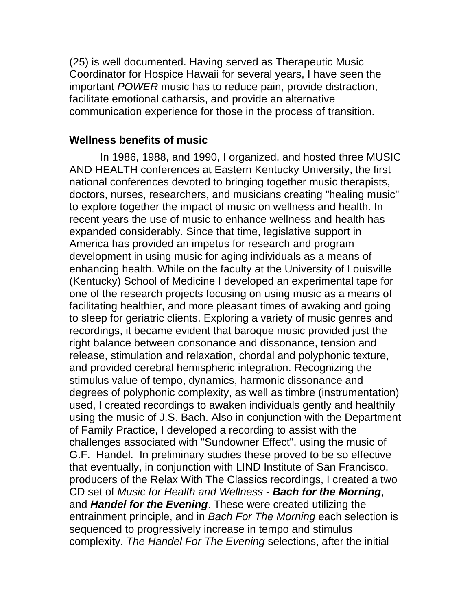(25) is well documented. Having served as Therapeutic Music Coordinator for Hospice Hawaii for several years, I have seen the important *POWER* music has to reduce pain, provide distraction, facilitate emotional catharsis, and provide an alternative communication experience for those in the process of transition.

#### **Wellness benefits of music**

 In 1986, 1988, and 1990, I organized, and hosted three MUSIC AND HEALTH conferences at Eastern Kentucky University, the first national conferences devoted to bringing together music therapists, doctors, nurses, researchers, and musicians creating "healing music" to explore together the impact of music on wellness and health. In recent years the use of music to enhance wellness and health has expanded considerably. Since that time, legislative support in America has provided an impetus for research and program development in using music for aging individuals as a means of enhancing health. While on the faculty at the University of Louisville (Kentucky) School of Medicine I developed an experimental tape for one of the research projects focusing on using music as a means of facilitating healthier, and more pleasant times of awaking and going to sleep for geriatric clients. Exploring a variety of music genres and recordings, it became evident that baroque music provided just the right balance between consonance and dissonance, tension and release, stimulation and relaxation, chordal and polyphonic texture, and provided cerebral hemispheric integration. Recognizing the stimulus value of tempo, dynamics, harmonic dissonance and degrees of polyphonic complexity, as well as timbre (instrumentation) used, I created recordings to awaken individuals gently and healthily using the music of J.S. Bach. Also in conjunction with the Department of Family Practice, I developed a recording to assist with the challenges associated with "Sundowner Effect", using the music of G.F. Handel. In preliminary studies these proved to be so effective that eventually, in conjunction with LIND Institute of San Francisco, producers of the Relax With The Classics recordings, I created a two CD set of *Music for Health and Wellness* - *Bach for the Morning*, and *Handel for the Evening*. These were created utilizing the entrainment principle, and in *Bach For The Morning* each selection is sequenced to progressively increase in tempo and stimulus complexity. *The Handel For The Evening* selections, after the initial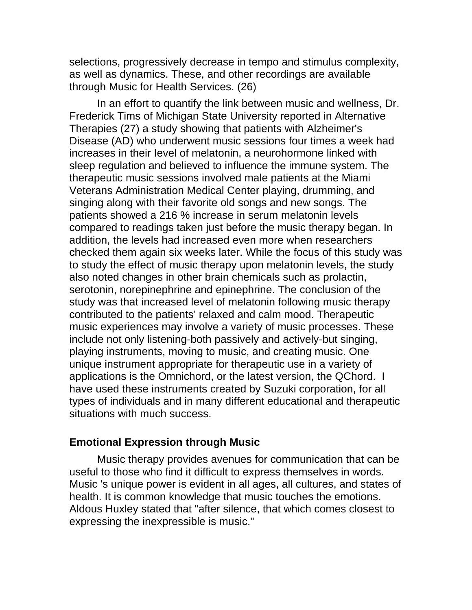selections, progressively decrease in tempo and stimulus complexity, as well as dynamics. These, and other recordings are available through Music for Health Services. (26)

In an effort to quantify the link between music and wellness, Dr. Frederick Tims of Michigan State University reported in Alternative Therapies (27) a study showing that patients with Alzheimer's Disease (AD) who underwent music sessions four times a week had increases in their Ievel of melatonin, a neurohormone linked with sleep regulation and believed to influence the immune system. The therapeutic music sessions involved male patients at the Miami Veterans Administration Medical Center playing, drumming, and singing along with their favorite old songs and new songs. The patients showed a 216 % increase in serum melatonin levels compared to readings taken just before the music therapy began. In addition, the levels had increased even more when researchers checked them again six weeks later. While the focus of this study was to study the effect of music therapy upon melatonin levels, the study also noted changes in other brain chemicals such as prolactin, serotonin, norepinephrine and epinephrine. The conclusion of the study was that increased level of melatonin following music therapy contributed to the patients' relaxed and calm mood. Therapeutic music experiences may involve a variety of music processes. These include not only listening-both passively and actively-but singing, playing instruments, moving to music, and creating music. One unique instrument appropriate for therapeutic use in a variety of applications is the Omnichord, or the latest version, the QChord. I have used these instruments created by Suzuki corporation, for all types of individuals and in many different educational and therapeutic situations with much success.

#### **Emotional Expression through Music**

Music therapy provides avenues for communication that can be useful to those who find it difficult to express themselves in words. Music 's unique power is evident in all ages, all cultures, and states of health. It is common knowledge that music touches the emotions. Aldous Huxley stated that "after silence, that which comes closest to expressing the inexpressible is music."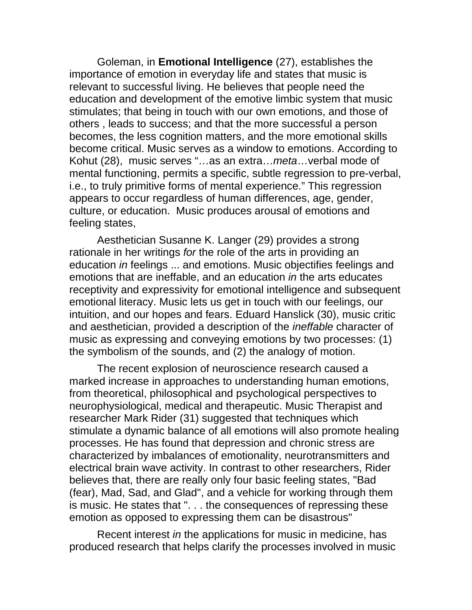Goleman, in **Emotional Intelligence** (27), establishes the importance of emotion in everyday life and states that music is relevant to successful living. He believes that people need the education and development of the emotive limbic system that music stimulates; that being in touch with our own emotions, and those of others , leads to success; and that the more successful a person becomes, the less cognition matters, and the more emotional skills become critical. Music serves as a window to emotions. According to Kohut (28), music serves "…as an extra…*meta*…verbal mode of mental functioning, permits a specific, subtle regression to pre-verbal, i.e., to truly primitive forms of mental experience." This regression appears to occur regardless of human differences, age, gender, culture, or education. Music produces arousal of emotions and feeling states,

Aesthetician Susanne K. Langer (29) provides a strong rationale in her writings *for* the role of the arts in providing an education *in* feelings ... and emotions. Music objectifies feelings and emotions that are ineffable, and an education *in* the arts educates receptivity and expressivity for emotional intelligence and subsequent emotional literacy. Music lets us get in touch with our feelings, our intuition, and our hopes and fears. Eduard Hanslick (30), music critic and aesthetician, provided a description of the *ineffable* character of music as expressing and conveying emotions by two processes: (1) the symbolism of the sounds, and (2) the analogy of motion.

The recent explosion of neuroscience research caused a marked increase in approaches to understanding human emotions, from theoretical, philosophical and psychological perspectives to neurophysiological, medical and therapeutic. Music Therapist and researcher Mark Rider (31) suggested that techniques which stimulate a dynamic balance of all emotions will also promote healing processes. He has found that depression and chronic stress are characterized by imbalances of emotionality, neurotransmitters and electrical brain wave activity. In contrast to other researchers, Rider believes that, there are really only four basic feeling states, "Bad (fear), Mad, Sad, and Glad", and a vehicle for working through them is music. He states that ". . . the consequences of repressing these emotion as opposed to expressing them can be disastrous"

Recent interest *in* the applications for music in medicine, has produced research that helps clarify the processes involved in music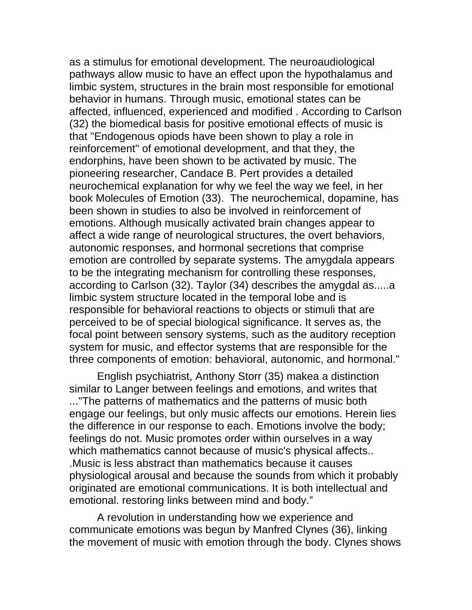as a stimulus for emotional development. The neuroaudiological pathways allow music to have an effect upon the hypothalamus and limbic system, structures in the brain most responsible for emotional behavior in humans. Through music, emotional states can be affected, influenced, experienced and modified . According to Carlson (32) the biomedical basis for positive emotional effects of music is that "Endogenous opiods have been shown to play a role in reinforcement" of emotional development, and that they, the endorphins, have been shown to be activated by music. The pioneering researcher, Candace B. Pert provides a detailed neurochemical explanation for why we feel the way we feel, in her book Molecules of Emotion (33). The neurochemical, dopamine, has been shown in studies to also be involved in reinforcement of emotions. Although musically activated brain changes appear to affect a wide range of neurological structures, the overt behaviors, autonomic responses, and hormonal secretions that comprise emotion are controlled by separate systems. The amygdala appears to be the integrating mechanism for controlling these responses, according to Carlson (32). Taylor (34) describes the amygdal as.....a limbic system structure located in the temporal lobe and is responsible for behavioral reactions to objects or stimuli that are perceived to be of special biological significance. It serves as, the focal point between sensory systems, such as the auditory reception system for music, and effector systems that are responsible for the three components of emotion: behavioral, autonomic, and hormonal."

English psychiatrist, Anthony Storr (35) makea a distinction similar to Langer between feelings and emotions, and writes that ..."The patterns of mathematics and the patterns of music both engage our feelings, but only music affects our emotions. Herein lies the difference in our response to each. Emotions involve the body; feelings do not. Music promotes order within ourselves in a way which mathematics cannot because of music's physical affects.. .Music is less abstract than mathematics because it causes physiological arousal and because the sounds from which it probably originated are emotional communications. It is both intellectual and emotional. restoring links between mind and body."

A revolution in understanding how we experience and communicate emotions was begun by Manfred Clynes (36), linking the movement of music with emotion through the body. Clynes shows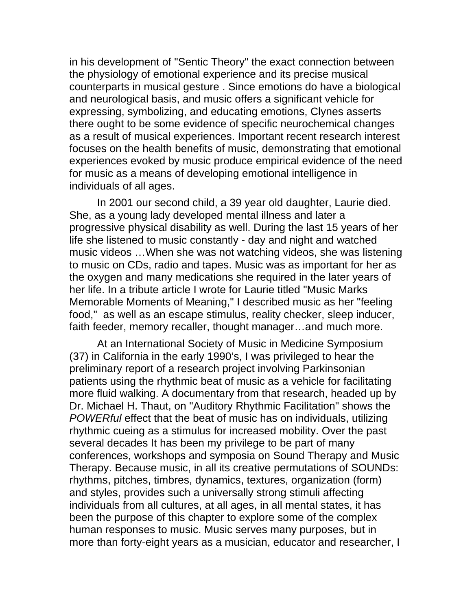in his development of "Sentic Theory" the exact connection between the physiology of emotional experience and its precise musical counterparts in musical gesture . Since emotions do have a biological and neurological basis, and music offers a significant vehicle for expressing, symbolizing, and educating emotions, Clynes asserts there ought to be some evidence of specific neurochemical changes as a result of musical experiences. Important recent research interest focuses on the health benefits of music, demonstrating that emotional experiences evoked by music produce empirical evidence of the need for music as a means of developing emotional intelligence in individuals of all ages.

In 2001 our second child, a 39 year old daughter, Laurie died. She, as a young lady developed mental illness and later a progressive physical disability as well. During the last 15 years of her life she listened to music constantly - day and night and watched music videos …When she was not watching videos, she was listening to music on CDs, radio and tapes. Music was as important for her as the oxygen and many medications she required in the later years of her life. In a tribute article I wrote for Laurie titled "Music Marks Memorable Moments of Meaning," I described music as her "feeling food," as well as an escape stimulus, reality checker, sleep inducer, faith feeder, memory recaller, thought manager…and much more.

At an International Society of Music in Medicine Symposium (37) in California in the early 1990's, I was privileged to hear the preliminary report of a research project involving Parkinsonian patients using the rhythmic beat of music as a vehicle for facilitating more fluid walking. A documentary from that research, headed up by Dr. Michael H. Thaut, on "Auditory Rhythmic Facilitation" shows the *POWERful* effect that the beat of music has on individuals, utilizing rhythmic cueing as a stimulus for increased mobility. Over the past several decades It has been my privilege to be part of many conferences, workshops and symposia on Sound Therapy and Music Therapy. Because music, in all its creative permutations of SOUNDs: rhythms, pitches, timbres, dynamics, textures, organization (form) and styles, provides such a universally strong stimuli affecting individuals from all cultures, at all ages, in all mental states, it has been the purpose of this chapter to explore some of the complex human responses to music. Music serves many purposes, but in more than forty-eight years as a musician, educator and researcher, I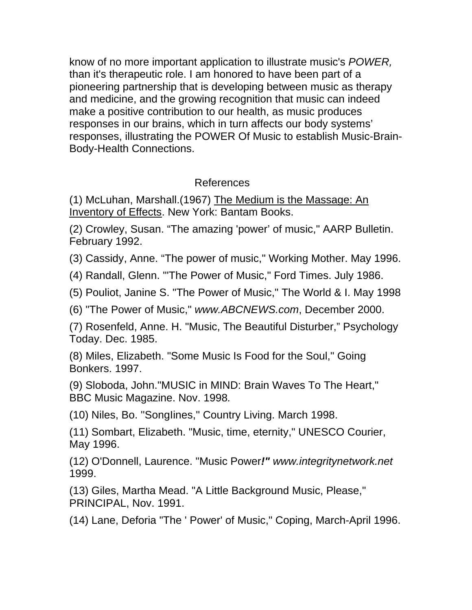know of no more important application to illustrate music's *POWER,*  than it's therapeutic role. I am honored to have been part of a pioneering partnership that is developing between music as therapy and medicine, and the growing recognition that music can indeed make a positive contribution to our health, as music produces responses in our brains, which in turn affects our body systems' responses, illustrating the POWER Of Music to establish Music-Brain-Body-Health Connections.

## References

(1) McLuhan, Marshall.(1967) The Medium is the Massage: An Inventory of Effects. New York: Bantam Books.

(2) Crowley, Susan. "The amazing 'power' of music," AARP Bulletin. February 1992.

(3) Cassidy, Anne. "The power of music," Working Mother. May 1996.

(4) Randall, Glenn. "'The Power of Music," Ford Times. July 1986.

(5) Pouliot, Janine S. "The Power of Music," The World & I. May 1998

(6) "The Power of Music," *www.ABCNEWS.com*, December 2000.

(7) Rosenfeld, Anne. H. "Music, The Beautiful Disturber," Psychology Today. Dec. 1985.

(8) Miles, Elizabeth. "Some Music Is Food for the Soul," Going Bonkers. 1997.

(9) Sloboda, John."MUSIC in MIND: Brain Waves To The Heart," BBC Music Magazine. Nov. 1998*.*

(10) Niles, Bo. ''SongIines,'' Country Living. March 1998.

(11) Sombart, Elizabeth. "Music, time, eternity," UNESCO Courier, May 1996.

(12) O'Donnell, Laurence. "Music Power*!" www.integritynetwork.net* 1999.

(13) Giles, Martha Mead. "A Little Background Music, Please," PRINCIPAL, Nov. 1991.

(14) Lane, Deforia "The ' Power' of Music," Coping, March-April 1996.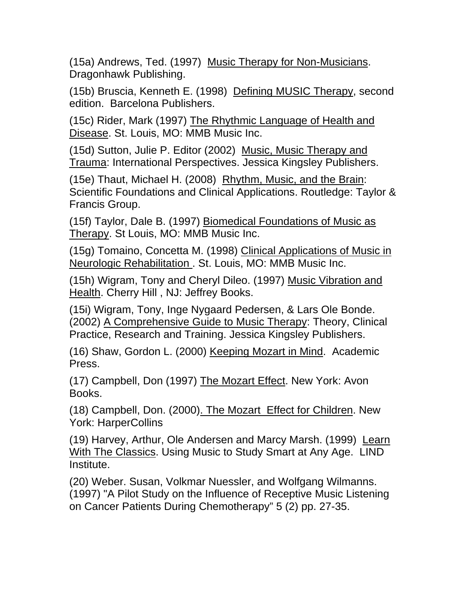(15a) Andrews, Ted. (1997) Music Therapy for Non-Musicians. Dragonhawk Publishing.

(15b) Bruscia, Kenneth E. (1998) Defining MUSIC Therapy, second edition. Barcelona Publishers.

(15c) Rider, Mark (1997) The Rhythmic Language of Health and Disease. St. Louis, MO: MMB Music Inc.

(15d) Sutton, Julie P. Editor (2002) Music, Music Therapy and Trauma: International Perspectives. Jessica Kingsley Publishers.

(15e) Thaut, Michael H. (2008) Rhythm, Music, and the Brain: Scientific Foundations and Clinical Applications. Routledge: Taylor & Francis Group.

(15f) Taylor, Dale B. (1997) Biomedical Foundations of Music as Therapy. St Louis, MO: MMB Music Inc.

(15g) Tomaino, Concetta M. (1998) Clinical Applications of Music in Neurologic Rehabilitation . St. Louis, MO: MMB Music Inc.

(15h) Wigram, Tony and Cheryl Dileo. (1997) Music Vibration and Health. Cherry Hill , NJ: Jeffrey Books.

(15i) Wigram, Tony, Inge Nygaard Pedersen, & Lars Ole Bonde. (2002) A Comprehensive Guide to Music Therapy: Theory, Clinical Practice, Research and Training. Jessica Kingsley Publishers.

(16) Shaw, Gordon L. (2000) Keeping Mozart in Mind. Academic Press.

(17) Campbell, Don (1997) The Mozart Effect. New York: Avon Books.

(18) Campbell, Don. (2000). The Mozart Effect for Children. New York: HarperCollins

(19) Harvey, Arthur, Ole Andersen and Marcy Marsh. (1999) Learn With The Classics. Using Music to Study Smart at Any Age. LIND Institute.

(20) Weber. Susan, Volkmar Nuessler, and Wolfgang Wilmanns. (1997) "A Pilot Study on the Influence of Receptive Music Listening on Cancer Patients During Chemotherapy" 5 (2) pp. 27-35.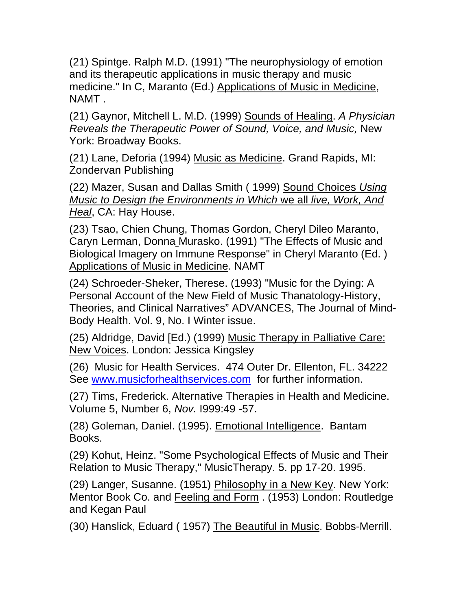(21) Spintge. Ralph M.D. (1991) "The neurophysiology of emotion and its therapeutic applications in music therapy and music medicine." In C, Maranto (Ed.) Applications of Music in Medicine, NAMT .

(21) Gaynor, Mitchell L. M.D. (1999) Sounds of Healing. *A Physician Reveals the Therapeutic Power of Sound, Voice, and Music,* New York: Broadway Books.

(21) Lane, Deforia (1994) Music as Medicine. Grand Rapids, MI: Zondervan Publishing

(22) Mazer, Susan and Dallas Smith ( 1999) Sound Choices *Using Music to Design the Environments in Which* we all *live, Work, And Heal*, CA: Hay House.

(23) Tsao, Chien Chung, Thomas Gordon, Cheryl Dileo Maranto, Caryn Lerman, Donna Murasko. (1991) "The Effects of Music and Biological Imagery on Immune Response" in Cheryl Maranto (Ed. ) Applications of Music in Medicine. NAMT

(24) Schroeder-Sheker, Therese. (1993) "Music for the Dying: A Personal Account of the New Field of Music Thanatology-History, Theories, and Clinical Narratives" ADVANCES, The Journal of Mind-Body Health. Vol. 9, No. I Winter issue.

(25) Aldridge, David [Ed.) (1999) Music Therapy in Palliative Care: New Voices. London: Jessica Kingsley

(26) Music for Health Services. 474 Outer Dr. Ellenton, FL. 34222 See [www.musicforhealthservices.com](http://www.musicforhealthservices.com/) for further information.

(27) Tims, Frederick. Alternative Therapies in Health and Medicine. Volume 5, Number 6, *Nov.* I999:49 -57.

(28) Goleman, Daniel. (1995). Emotional Intelligence. Bantam Books.

(29) Kohut, Heinz. "Some Psychological Effects of Music and Their Relation to Music Therapy," MusicTherapy. 5. pp 17-20. 1995.

(29) Langer, Susanne. (1951) Philosophy in a New Key. New York: Mentor Book Co. and Feeling and Form . (1953) London: Routledge and Kegan Paul

(30) Hanslick, Eduard ( 1957) The Beautiful in Music. Bobbs-Merrill.